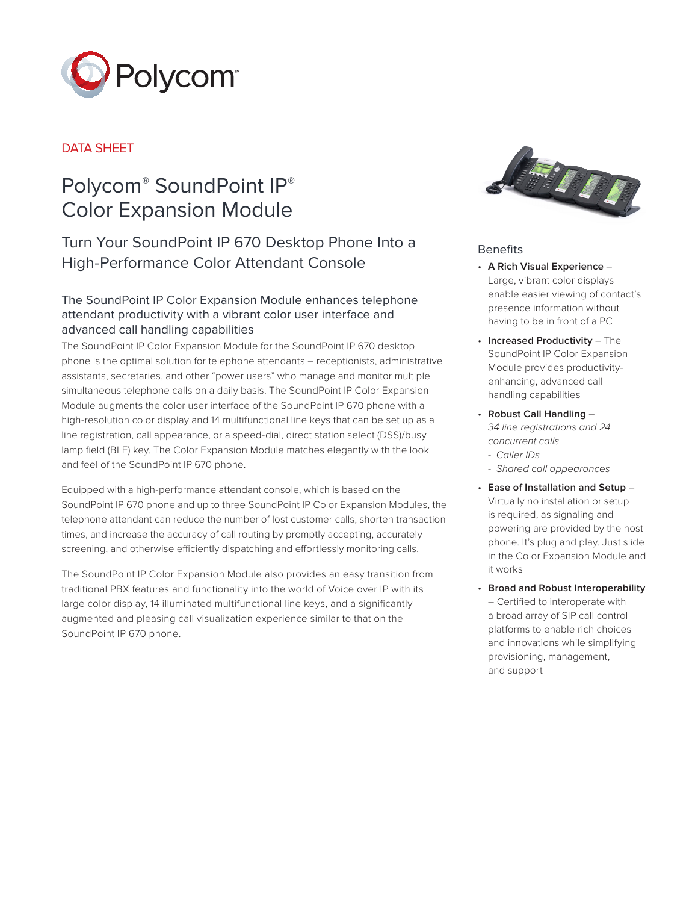

### DATA SHEET

# Polycom® SoundPoint IP® Color Expansion Module

Turn Your SoundPoint IP 670 Desktop Phone Into a High-Performance Color Attendant Console

### The SoundPoint IP Color Expansion Module enhances telephone attendant productivity with a vibrant color user interface and advanced call handling capabilities

The SoundPoint IP Color Expansion Module for the SoundPoint IP 670 desktop phone is the optimal solution for telephone attendants – receptionists, administrative assistants, secretaries, and other "power users" who manage and monitor multiple simultaneous telephone calls on a daily basis. The SoundPoint IP Color Expansion Module augments the color user interface of the SoundPoint IP 670 phone with a high-resolution color display and 14 multifunctional line keys that can be set up as a line registration, call appearance, or a speed-dial, direct station select (DSS)/busy lamp field (BLF) key. The Color Expansion Module matches elegantly with the look and feel of the SoundPoint IP 670 phone.

Equipped with a high-performance attendant console, which is based on the SoundPoint IP 670 phone and up to three SoundPoint IP Color Expansion Modules, the telephone attendant can reduce the number of lost customer calls, shorten transaction times, and increase the accuracy of call routing by promptly accepting, accurately screening, and otherwise efficiently dispatching and effortlessly monitoring calls.

The SoundPoint IP Color Expansion Module also provides an easy transition from traditional PBX features and functionality into the world of Voice over IP with its large color display, 14 illuminated multifunctional line keys, and a significantly augmented and pleasing call visualization experience similar to that on the SoundPoint IP 670 phone.



### Benefits

- • **A Rich Visual Experience**  Large, vibrant color displays enable easier viewing of contact's presence information without having to be in front of a PC
- • **Increased Productivity**  The SoundPoint IP Color Expansion Module provides productivityenhancing, advanced call handling capabilities
- • **Robust Call Handling**  *34 line registrations and 24 concurrent calls* - *Caller IDs* 
	- *Shared call appearances*
- • **Ease of Installation and Setup** Virtually no installation or setup is required, as signaling and powering are provided by the host phone. It's plug and play. Just slide in the Color Expansion Module and it works
- • **Broad and Robust Interoperability**  – Certified to interoperate with a broad array of SIP call control platforms to enable rich choices and innovations while simplifying provisioning, management, and support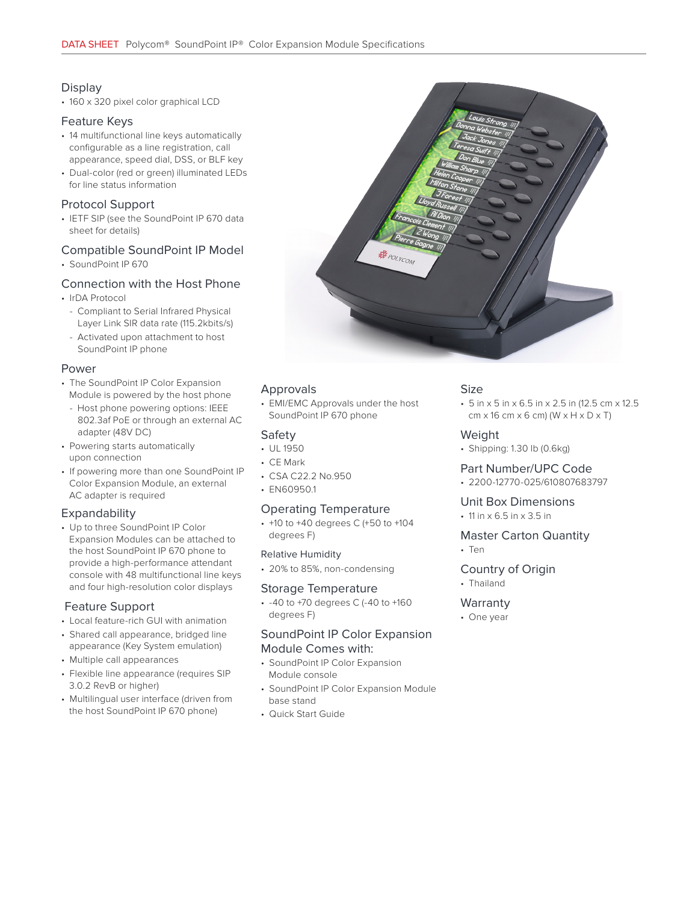### Display

• 160 x 320 pixel color graphical LCD

### Feature Keys

- 14 multifunctional line keys automatically configurable as a line registration, call appearance, speed dial, DSS, or BLF key
- Dual-color (red or green) illuminated LEDs for line status information

### Protocol Support

• IETF SIP (see the SoundPoint IP 670 data sheet for details)

### Compatible SoundPoint IP Model

• SoundPoint IP 670

### Connection with the Host Phone

- IrDA Protocol
	- Compliant to Serial Infrared Physical Layer Link SIR data rate (115.2kbits/s)
- Activated upon attachment to host SoundPoint IP phone

### Power

- The SoundPoint IP Color Expansion Module is powered by the host phone
- Host phone powering options: IEEE 802.3af PoE or through an external AC adapter (48V DC)
- Powering starts automatically upon connection
- If powering more than one SoundPoint IP Color Expansion Module, an external AC adapter is required

### Expandability

• Up to three SoundPoint IP Color Expansion Modules can be attached to the host SoundPoint IP 670 phone to provide a high-performance attendant console with 48 multifunctional line keys and four high-resolution color displays

### Feature Support

- Local feature-rich GUI with animation
- Shared call appearance, bridged line appearance (Key System emulation)
- Multiple call appearances
- Flexible line appearance (requires SIP 3.0.2 RevB or higher)
- Multilingual user interface (driven from the host SoundPoint IP 670 phone)

# **B** POLYCOM

### Approvals

• EMI/EMC Approvals under the host SoundPoint IP 670 phone

### Safety

- UL 1950
- CE Mark
- CSA C22.2 No.950
- EN60950.1

### Operating Temperature

• +10 to +40 degrees C (+50 to +104 degrees F)

### Relative Humidity

• 20% to 85%, non-condensing

### Storage Temperature

• -40 to +70 degrees C (-40 to +160 degrees F)

## SoundPoint IP Color Expansion

### Module Comes with:

- SoundPoint IP Color Expansion Module console
- SoundPoint IP Color Expansion Module base stand
- Quick Start Guide

### Size

• 5 in x 5 in x 6.5 in x 2.5 in (12.5 cm x 12.5 cm x 16 cm x 6 cm) ( $W \times H \times D \times T$ )

### Weight

- Shipping: 1.30 lb (0.6kg)
- Part Number/UPC Code
- 2200-12770-025/610807683797

### Unit Box Dimensions

• 11 in x 6.5 in x 3.5 in

### Master Carton Quantity

• Ten

### Country of Origin

• Thailand

### **Warranty**

• One year